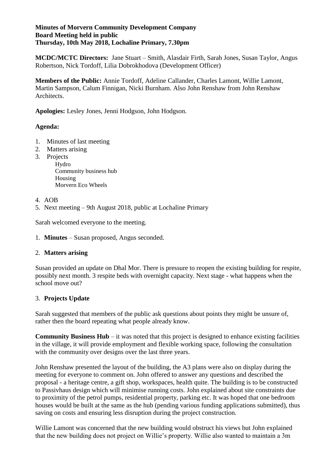## **Minutes of Morvern Community Development Company Board Meeting held in public Thursday, 10th May 2018, Lochaline Primary, 7.30pm**

**MCDC/MCTC Directors:** Jane Stuart – Smith, Alasdair Firth, Sarah Jones, Susan Taylor, Angus Robertson, Nick Tordoff, Lilia Dobrokhodova (Development Officer)

**Members of the Public:** Annie Tordoff, Adeline Callander, Charles Lamont, Willie Lamont, Martin Sampson, Calum Finnigan, Nicki Burnham. Also John Renshaw from John Renshaw Architects.

**Apologies:** Lesley Jones, Jenni Hodgson, John Hodgson.

# **Agenda:**

- 1. Minutes of last meeting
- 2. Matters arising
- 3. Projects

Hydro Community business hub Housing Morvern Eco Wheels

## 4. AOB

5. Next meeting – 9th August 2018, public at Lochaline Primary

Sarah welcomed everyone to the meeting.

1. **Minutes** – Susan proposed, Angus seconded.

## 2. **Matters arising**

Susan provided an update on Dhal Mor. There is pressure to reopen the existing building for respite, possibly next month. 3 respite beds with overnight capacity. Next stage - what happens when the school move out?

# 3. **Projects Update**

Sarah suggested that members of the public ask questions about points they might be unsure of, rather then the board repeating what people already know.

**Community Business Hub** – it was noted that this project is designed to enhance existing facilities in the village, it will provide employment and flexible working space, following the consultation with the community over designs over the last three years.

John Renshaw presented the layout of the building, the A3 plans were also on display during the meeting for everyone to comment on. John offered to answer any questions and described the proposal - a heritage centre, a gift shop, workspaces, health quite. The building is to be constructed to Passivhaus design which will minimise running costs. John explained about site constraints due to proximity of the petrol pumps, residential property, parking etc. It was hoped that one bedroom houses would be built at the same as the hub (pending various funding applications submitted), thus saving on costs and ensuring less disruption during the project construction.

Willie Lamont was concerned that the new building would obstruct his views but John explained that the new building does not project on Willie's property. Willie also wanted to maintain a 3m